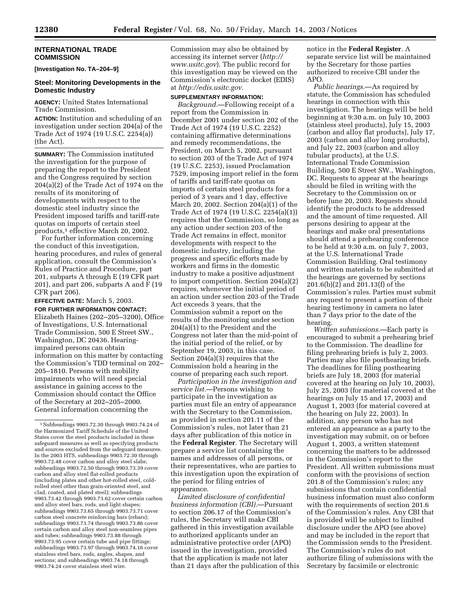## **INTERNATIONAL TRADE COMMISSION**

**[Investigation No. TA–204–9]** 

## **Steel: Monitoring Developments in the Domestic Industry**

**AGENCY:** United States International Trade Commission.

**ACTION:** Institution and scheduling of an investigation under section 204(a) of the Trade Act of 1974 (19 U.S.C. 2254(a)) (the Act).

**SUMMARY:** The Commission instituted the investigation for the purpose of preparing the report to the President and the Congress required by section 204(a)(2) of the Trade Act of 1974 on the results of its monitoring of developments with respect to the domestic steel industry since the President imposed tariffs and tariff-rate quotas on imports of certain steel products,<sup>1</sup> effective March 20, 2002.

For further information concerning the conduct of this investigation, hearing procedures, and rules of general application, consult the Commission's Rules of Practice and Procedure, part 201, subparts A through E (19 CFR part 201), and part 206, subparts A and F (19 CFR part 206).

**EFFECTIVE DATE:** March 5, 2003.

**FOR FURTHER INFORMATION CONTACT:** Elizabeth Haines (202–205–3200), Office of Investigations, U.S. International Trade Commission, 500 E Street SW., Washington, DC 20436. Hearingimpaired persons can obtain information on this matter by contacting the Commission's TDD terminal on 202– 205–1810. Persons with mobility impairments who will need special assistance in gaining access to the Commission should contact the Office of the Secretary at 202–205–2000. General information concerning the

Commission may also be obtained by accessing its internet server (*http:// www.usitc.gov*). The public record for this investigation may be viewed on the Commission's electronic docket (EDIS) at *http://edis.usitc.gov.*

#### **SUPPLEMENTARY INFORMATION:**

*Background.*—Following receipt of a report from the Commission in December 2001 under section 202 of the Trade Act of 1974 (19 U.S.C. 2252) containing affirmative determinations and remedy recommendations, the President, on March 5, 2002, pursuant to section 203 of the Trade Act of 1974 (19 U.S.C. 2253), issued Proclamation 7529, imposing import relief in the form of tariffs and tariff-rate quotas on imports of certain steel products for a period of 3 years and 1 day, effective March 20, 2002. Section 204(a)(1) of the Trade Act of 1974 (19 U.S.C. 2254(a)(1)) requires that the Commission, so long as any action under section 203 of the Trade Act remains in effect, monitor developments with respect to the domestic industry, including the progress and specific efforts made by workers and firms in the domestic industry to make a positive adjustment to import competition. Section 204(a)(2) requires, whenever the initial period of an action under section 203 of the Trade Act exceeds 3 years, that the Commission submit a report on the results of the monitoring under section 204(a)(1) to the President and the Congress not later than the mid-point of the initial period of the relief, or by September 19, 2003, in this case. Section 204(a)(3) requires that the Commission hold a hearing in the course of preparing each such report.

*Participation in the investigation and service list.*—Persons wishing to participate in the investigation as parties must file an entry of appearance with the Secretary to the Commission, as provided in section 201.11 of the Commission's rules, not later than 21 days after publication of this notice in the **Federal Register**. The Secretary will prepare a service list containing the names and addresses of all persons, or their representatives, who are parties to this investigation upon the expiration of the period for filing entries of appearance.

*Limited disclosure of confidential business information (CBI).*—Pursuant to section 206.17 of the Commission's rules, the Secretary will make CBI gathered in this investigation available to authorized applicants under an administrative protective order (APO) issued in the investigation, provided that the application is made not later than 21 days after the publication of this

notice in the **Federal Register**. A separate service list will be maintained by the Secretary for those parties authorized to receive CBI under the APO.

*Public hearings.*—As required by statute, the Commission has scheduled hearings in connection with this investigation. The hearings will be held beginning at 9:30 a.m. on July 10, 2003 (stainless steel products), July 15, 2003 (carbon and alloy flat products), July 17, 2003 (carbon and alloy long products), and July 22, 2003 (carbon and alloy tubular products), at the U.S. International Trade Commission Building, 500 E Street SW., Washington, DC. Requests to appear at the hearings should be filed in writing with the Secretary to the Commission on or before June 20, 2003. Requests should identify the products to be addressed and the amount of time requested. All persons desiring to appear at the hearings and make oral presentations should attend a prehearing conference to be held at 9:30 a.m. on July 7, 2003, at the U.S. International Trade Commission Building. Oral testimony and written materials to be submitted at the hearings are governed by sections 201.6(b)(2) and 201.13(f) of the Commission's rules. Parties must submit any request to present a portion of their hearing testimony in camera no later than 7 days prior to the date of the hearing.

*Written submissions.*—Each party is encouraged to submit a prehearing brief to the Commission. The deadline for filing prehearing briefs is July 2, 2003. Parties may also file posthearing briefs. The deadlines for filing posthearing briefs are July 18, 2003 (for material covered at the hearing on July 10, 2003), July 25, 2003 (for material covered at the hearings on July 15 and 17, 2003) and August 1, 2003 (for material covered at the hearing on July 22, 2003). In addition, any person who has not entered an appearance as a party to the investigation may submit, on or before August 1, 2003, a written statement concerning the matters to be addressed in the Commission's report to the President. All written submissions must conform with the provisions of section 201.8 of the Commission's rules; any submissions that contain confidential business information must also conform with the requirements of section 201.6 of the Commission's rules. Any CBI that is provided will be subject to limited disclosure under the APO (see above) and may be included in the report that the Commission sends to the President. The Commission's rules do not authorize filing of submissions with the Secretary by facsimile or electronic

<sup>1</sup>Subheadings 9903.72.30 through 9903.74.24 of the Harmonized Tariff Schedule of the United States cover the steel products included in these safeguard measures as well as specifying products and sources excluded from the safeguard measures. In the 2003 HTS, subheadings 9903.72.30 through 9903.72.48 cover carbon and alloy steel slabs; subheadings 9903.72.50 through 9903.73.39 cover carbon and alloy steel flat-rolled products (including plates and other hot-rolled steel, coldrolled steel other than grain-oriented steel, and clad, coated, and plated steel); subheadings 9903.73.42 through 9903.73.62 cover certain carbon and alloy steel bars, rods, and light shapes; subheadings 9903.73.65 through 9903.73.71 cover carbon steel concrete reinforcing bars (rebars); subheadings 9903.73.74 through 9903.73.86 cover certain carbon and alloy steel non-seamless pipes and tubes; subheadings 9903.73.88 through 9903.73.95 cover certain tube and pipe fittings; subheadings 9903.73.97 through 9903.74.16 cover stainless steel bars, rods, angles, shapes, and sections; and subheadings 9903.74.18 through 9903.74.24 cover stainless steel wire.